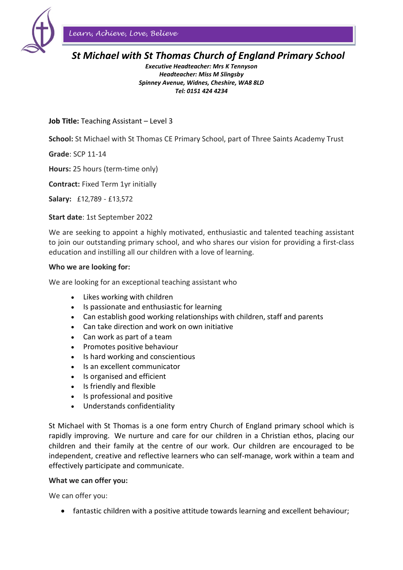

*Learn, Achieve, Love, Believe*

# *St Michael with St Thomas Church of England Primary School*

*Executive Headteacher: Mrs K Tennyson Headteacher: Miss M Slingsby Spinney Avenue, Widnes, Cheshire, WA8 8LD Tel: 0151 424 4234* 

## **Job Title:** Teaching Assistant – Level 3

**School:** St Michael with St Thomas CE Primary School, part of Three Saints Academy Trust

**Grade**: SCP 11-14

**Hours:** 25 hours (term-time only)

**Contract:** Fixed Term 1yr initially

**Salary:** £12,789 - £13,572

### **Start date**: 1st September 2022

We are seeking to appoint a highly motivated, enthusiastic and talented teaching assistant to join our outstanding primary school, and who shares our vision for providing a first-class education and instilling all our children with a love of learning.

#### **Who we are looking for:**

We are looking for an exceptional teaching assistant who

- Likes working with children
- Is passionate and enthusiastic for learning
- Can establish good working relationships with children, staff and parents
- Can take direction and work on own initiative
- Can work as part of a team
- Promotes positive behaviour
- Is hard working and conscientious
- Is an excellent communicator
- Is organised and efficient
- Is friendly and flexible
- Is professional and positive
- Understands confidentiality

St Michael with St Thomas is a one form entry Church of England primary school which is rapidly improving. We nurture and care for our children in a Christian ethos, placing our children and their family at the centre of our work. Our children are encouraged to be independent, creative and reflective learners who can self-manage, work within a team and effectively participate and communicate.

#### **What we can offer you:**

We can offer you:

• fantastic children with a positive attitude towards learning and excellent behaviour;